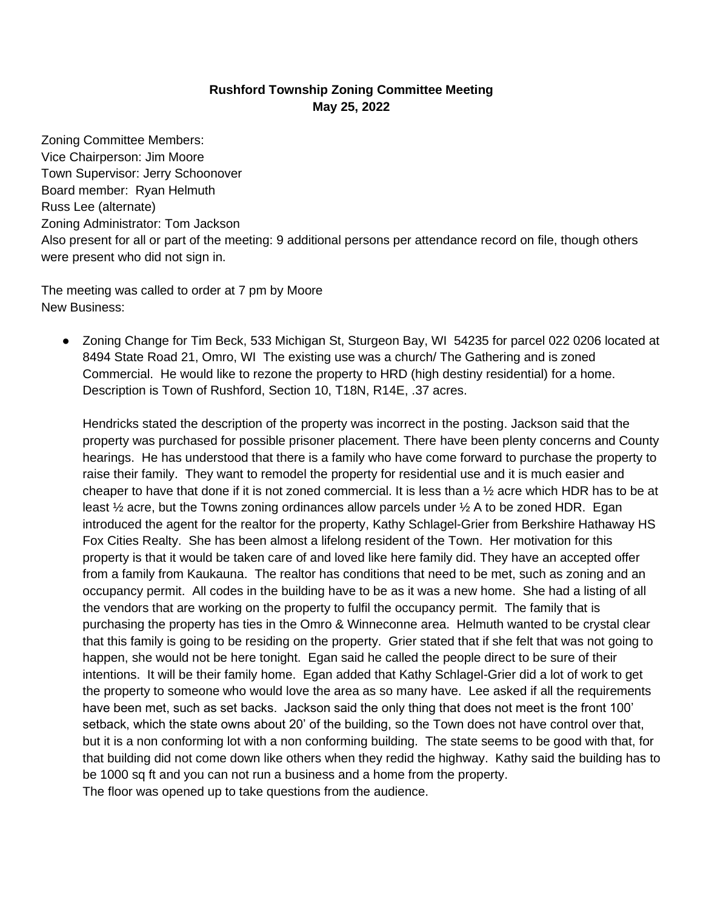## **Rushford Township Zoning Committee Meeting May 25, 2022**

Zoning Committee Members: Vice Chairperson: Jim Moore Town Supervisor: Jerry Schoonover Board member: Ryan Helmuth Russ Lee (alternate) Zoning Administrator: Tom Jackson Also present for all or part of the meeting: 9 additional persons per attendance record on file, though others were present who did not sign in.

The meeting was called to order at 7 pm by Moore New Business:

● Zoning Change for Tim Beck, 533 Michigan St, Sturgeon Bay, WI 54235 for parcel 022 0206 located at 8494 State Road 21, Omro, WI The existing use was a church/ The Gathering and is zoned Commercial. He would like to rezone the property to HRD (high destiny residential) for a home. Description is Town of Rushford, Section 10, T18N, R14E, .37 acres.

Hendricks stated the description of the property was incorrect in the posting. Jackson said that the property was purchased for possible prisoner placement. There have been plenty concerns and County hearings. He has understood that there is a family who have come forward to purchase the property to raise their family. They want to remodel the property for residential use and it is much easier and cheaper to have that done if it is not zoned commercial. It is less than a ½ acre which HDR has to be at least  $\frac{1}{2}$  acre, but the Towns zoning ordinances allow parcels under  $\frac{1}{2}$  A to be zoned HDR. Egan introduced the agent for the realtor for the property, Kathy Schlagel-Grier from Berkshire Hathaway HS Fox Cities Realty. She has been almost a lifelong resident of the Town. Her motivation for this property is that it would be taken care of and loved like here family did. They have an accepted offer from a family from Kaukauna. The realtor has conditions that need to be met, such as zoning and an occupancy permit. All codes in the building have to be as it was a new home. She had a listing of all the vendors that are working on the property to fulfil the occupancy permit. The family that is purchasing the property has ties in the Omro & Winneconne area. Helmuth wanted to be crystal clear that this family is going to be residing on the property. Grier stated that if she felt that was not going to happen, she would not be here tonight. Egan said he called the people direct to be sure of their intentions. It will be their family home. Egan added that Kathy Schlagel-Grier did a lot of work to get the property to someone who would love the area as so many have. Lee asked if all the requirements have been met, such as set backs. Jackson said the only thing that does not meet is the front 100' setback, which the state owns about 20' of the building, so the Town does not have control over that, but it is a non conforming lot with a non conforming building. The state seems to be good with that, for that building did not come down like others when they redid the highway. Kathy said the building has to be 1000 sq ft and you can not run a business and a home from the property. The floor was opened up to take questions from the audience.